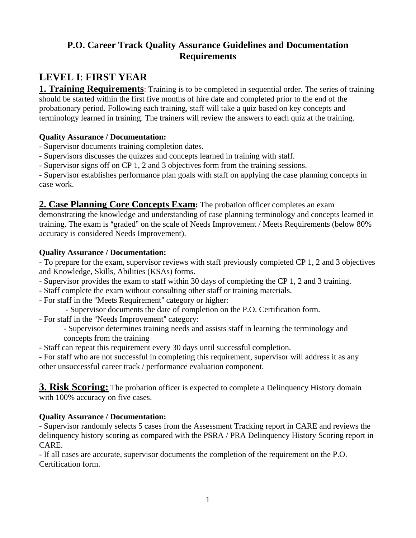## **P.O. Career Track Quality Assurance Guidelines and Documentation Requirements**

# **LEVEL I**: **FIRST YEAR**

**1. Training Requirements**: Training is to be completed in sequential order. The series of training should be started within the first five months of hire date and completed prior to the end of the probationary period. Following each training, staff will take a quiz based on key concepts and terminology learned in training. The trainers will review the answers to each quiz at the training.

## **Quality Assurance / Documentation:**

- Supervisor documents training completion dates.
- Supervisors discusses the quizzes and concepts learned in training with staff.
- Supervisor signs off on CP 1, 2 and 3 objectives form from the training sessions.

- Supervisor establishes performance plan goals with staff on applying the case planning concepts in case work.

**2. Case Planning Core Concepts Exam:** The probation officer completes an exam

demonstrating the knowledge and understanding of case planning terminology and concepts learned in training. The exam is "graded" on the scale of Needs Improvement / Meets Requirements (below 80% accuracy is considered Needs Improvement).

## **Quality Assurance / Documentation:**

- To prepare for the exam, supervisor reviews with staff previously completed CP 1, 2 and 3 objectives and Knowledge, Skills, Abilities (KSAs) forms.

- Supervisor provides the exam to staff within 30 days of completing the CP 1, 2 and 3 training.
- Staff complete the exam without consulting other staff or training materials.
- For staff in the "Meets Requirement" category or higher:
	- Supervisor documents the date of completion on the P.O. Certification form.
- For staff in the "Needs Improvement" category:
	- Supervisor determines training needs and assists staff in learning the terminology and concepts from the training
- Staff can repeat this requirement every 30 days until successful completion.
- For staff who are not successful in completing this requirement, supervisor will address it as any other unsuccessful career track / performance evaluation component.

**3. Risk Scoring:** The probation officer is expected to complete a Delinquency History domain with 100% accuracy on five cases.

## **Quality Assurance / Documentation:**

- Supervisor randomly selects 5 cases from the Assessment Tracking report in CARE and reviews the delinquency history scoring as compared with the PSRA / PRA Delinquency History Scoring report in CARE.

- If all cases are accurate, supervisor documents the completion of the requirement on the P.O. Certification form.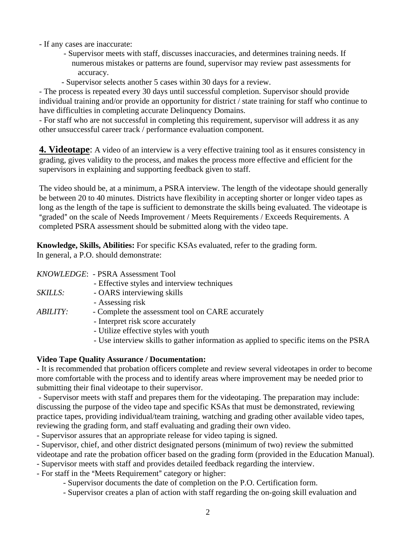- If any cases are inaccurate:

- Supervisor meets with staff, discusses inaccuracies, and determines training needs. If numerous mistakes or patterns are found, supervisor may review past assessments for accuracy.
- Supervisor selects another 5 cases within 30 days for a review.

- The process is repeated every 30 days until successful completion. Supervisor should provide individual training and/or provide an opportunity for district / state training for staff who continue to have difficulties in completing accurate Delinquency Domains.

- For staff who are not successful in completing this requirement, supervisor will address it as any other unsuccessful career track / performance evaluation component.

**4. Videotape**: A video of an interview is a very effective training tool as it ensures consistency in grading, gives validity to the process, and makes the process more effective and efficient for the supervisors in explaining and supporting feedback given to staff.

The video should be, at a minimum, a PSRA interview. The length of the videotape should generally be between 20 to 40 minutes. Districts have flexibility in accepting shorter or longer video tapes as long as the length of the tape is sufficient to demonstrate the skills being evaluated. The videotape is "graded" on the scale of Needs Improvement / Meets Requirements / Exceeds Requirements. A completed PSRA assessment should be submitted along with the video tape.

**Knowledge, Skills, Abilities:** For specific KSAs evaluated, refer to the grading form. In general, a P.O. should demonstrate:

|                        | KNOWLEDGE: - PSRA Assessment Tool                 |
|------------------------|---------------------------------------------------|
|                        | - Effective styles and interview techniques       |
| SKILLS:                | - OARS interviewing skills                        |
|                        | - Assessing risk                                  |
| <i><b>ABILITY:</b></i> | - Complete the assessment tool on CARE accurately |
|                        | - Interpret risk score accurately                 |
|                        | - Utilize effective styles with youth             |
|                        | .                                                 |

- Use interview skills to gather information as applied to specific items on the PSRA

#### **Video Tape Quality Assurance / Documentation:**

- It is recommended that probation officers complete and review several videotapes in order to become more comfortable with the process and to identify areas where improvement may be needed prior to submitting their final videotape to their supervisor.

 - Supervisor meets with staff and prepares them for the videotaping. The preparation may include: discussing the purpose of the video tape and specific KSAs that must be demonstrated, reviewing practice tapes, providing individual/team training, watching and grading other available video tapes, reviewing the grading form, and staff evaluating and grading their own video.

- Supervisor assures that an appropriate release for video taping is signed.

- Supervisor, chief, and other district designated persons (minimum of two) review the submitted

videotape and rate the probation officer based on the grading form (provided in the Education Manual).

- Supervisor meets with staff and provides detailed feedback regarding the interview.
- For staff in the "Meets Requirement" category or higher:
	- Supervisor documents the date of completion on the P.O. Certification form.
	- Supervisor creates a plan of action with staff regarding the on-going skill evaluation and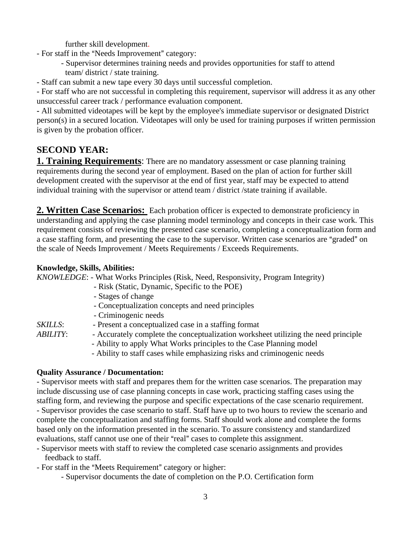further skill development.

- For staff in the "Needs Improvement" category:
	- Supervisor determines training needs and provides opportunities for staff to attend team/ district / state training.
- Staff can submit a new tape every 30 days until successful completion.

- For staff who are not successful in completing this requirement, supervisor will address it as any other unsuccessful career track / performance evaluation component.

**-** All submitted videotapes will be kept by the employee's immediate supervisor or designated District person(s) in a secured location. Videotapes will only be used for training purposes if written permission is given by the probation officer.

## **SECOND YEAR:**

**1. Training Requirements:** There are no mandatory assessment or case planning training requirements during the second year of employment. Based on the plan of action for further skill development created with the supervisor at the end of first year, staff may be expected to attend individual training with the supervisor or attend team / district /state training if available.

**2. Written Case Scenarios:** Each probation officer is expected to demonstrate proficiency in understanding and applying the case planning model terminology and concepts in their case work. This requirement consists of reviewing the presented case scenario, completing a conceptualization form and a case staffing form, and presenting the case to the supervisor. Written case scenarios are "graded" on the scale of Needs Improvement / Meets Requirements / Exceeds Requirements.

#### **Knowledge, Skills, Abilities:**

*KNOWLEDGE*: - What Works Principles (Risk, Need, Responsivity, Program Integrity)

- Risk (Static, Dynamic, Specific to the POE)
- Stages of change
- Conceptualization concepts and need principles
- Criminogenic needs
- *SKILLS*: Present a conceptualized case in a staffing format
- *ABILITY*: Accurately complete the conceptualization worksheet utilizing the need principle
	- Ability to apply What Works principles to the Case Planning model
	- Ability to staff cases while emphasizing risks and criminogenic needs

#### **Quality Assurance / Documentation:**

- Supervisor meets with staff and prepares them for the written case scenarios. The preparation may include discussing use of case planning concepts in case work, practicing staffing cases using the staffing form, and reviewing the purpose and specific expectations of the case scenario requirement. - Supervisor provides the case scenario to staff. Staff have up to two hours to review the scenario and complete the conceptualization and staffing forms. Staff should work alone and complete the forms based only on the information presented in the scenario. To assure consistency and standardized evaluations, staff cannot use one of their "real" cases to complete this assignment.

- Supervisor meets with staff to review the completed case scenario assignments and provides feedback to staff.

- For staff in the "Meets Requirement" category or higher:

- Supervisor documents the date of completion on the P.O. Certification form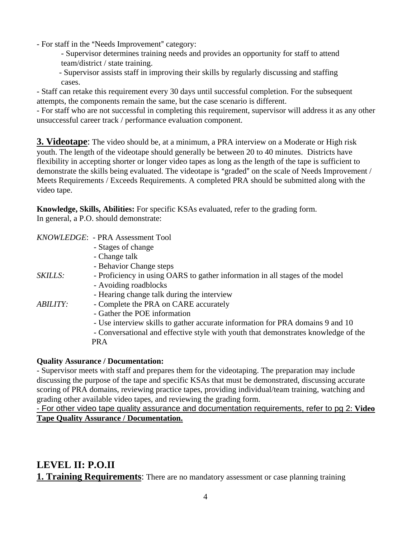- For staff in the "Needs Improvement" category:

- Supervisor determines training needs and provides an opportunity for staff to attend team/district / state training.
- Supervisor assists staff in improving their skills by regularly discussing and staffing cases.

- Staff can retake this requirement every 30 days until successful completion. For the subsequent attempts, the components remain the same, but the case scenario is different.

- For staff who are not successful in completing this requirement, supervisor will address it as any other unsuccessful career track / performance evaluation component.

**3. Videotape**: The video should be, at a minimum, a PRA interview on a Moderate or High risk youth. The length of the videotape should generally be between 20 to 40 minutes. Districts have flexibility in accepting shorter or longer video tapes as long as the length of the tape is sufficient to demonstrate the skills being evaluated. The videotape is "graded" on the scale of Needs Improvement / Meets Requirements / Exceeds Requirements. A completed PRA should be submitted along with the video tape.

**Knowledge, Skills, Abilities:** For specific KSAs evaluated, refer to the grading form. In general, a P.O. should demonstrate:

|                        | KNOWLEDGE: - PRA Assessment Tool                                                   |
|------------------------|------------------------------------------------------------------------------------|
|                        | - Stages of change                                                                 |
|                        | - Change talk                                                                      |
|                        | - Behavior Change steps                                                            |
| <i>SKILLS:</i>         | - Proficiency in using OARS to gather information in all stages of the model       |
|                        | - Avoiding roadblocks                                                              |
|                        | - Hearing change talk during the interview                                         |
| <i><b>ABILITY:</b></i> | - Complete the PRA on CARE accurately                                              |
|                        | - Gather the POE information                                                       |
|                        | - Use interview skills to gather accurate information for PRA domains 9 and 10     |
|                        | - Conversational and effective style with youth that demonstrates knowledge of the |
|                        | <b>PRA</b>                                                                         |
|                        |                                                                                    |

#### **Quality Assurance / Documentation:**

- Supervisor meets with staff and prepares them for the videotaping. The preparation may include discussing the purpose of the tape and specific KSAs that must be demonstrated, discussing accurate scoring of PRA domains, reviewing practice tapes, providing individual/team training, watching and grading other available video tapes, and reviewing the grading form.

- For other video tape quality assurance and documentation requirements, refer to pg 2: **Video Tape Quality Assurance / Documentation.**

## **LEVEL II: P.O.II**

**1. Training Requirements:** There are no mandatory assessment or case planning training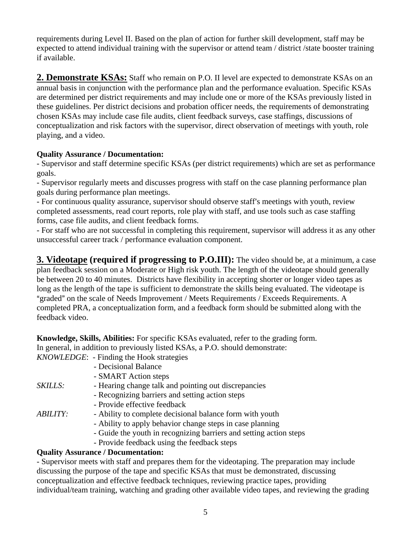requirements during Level II. Based on the plan of action for further skill development, staff may be expected to attend individual training with the supervisor or attend team / district /state booster training if available.

**2. Demonstrate KSAs:** Staff who remain on P.O. II level are expected to demonstrate KSAs on an annual basis in conjunction with the performance plan and the performance evaluation. Specific KSAs are determined per district requirements and may include one or more of the KSAs previously listed in these guidelines. Per district decisions and probation officer needs, the requirements of demonstrating chosen KSAs may include case file audits, client feedback surveys, case staffings, discussions of conceptualization and risk factors with the supervisor, direct observation of meetings with youth, role playing, and a video.

#### **Quality Assurance / Documentation:**

- Supervisor and staff determine specific KSAs (per district requirements) which are set as performance goals.

- Supervisor regularly meets and discusses progress with staff on the case planning performance plan goals during performance plan meetings.

- For continuous quality assurance, supervisor should observe staff's meetings with youth, review completed assessments, read court reports, role play with staff, and use tools such as case staffing forms, case file audits, and client feedback forms.

- For staff who are not successful in completing this requirement, supervisor will address it as any other unsuccessful career track / performance evaluation component.

**3. Videotape (required if progressing to P.O.III):** The video should be, at a minimum, a case plan feedback session on a Moderate or High risk youth. The length of the videotape should generally be between 20 to 40 minutes. Districts have flexibility in accepting shorter or longer video tapes as long as the length of the tape is sufficient to demonstrate the skills being evaluated. The videotape is "graded" on the scale of Needs Improvement / Meets Requirements / Exceeds Requirements. A completed PRA, a conceptualization form, and a feedback form should be submitted along with the feedback video.

**Knowledge, Skills, Abilities:** For specific KSAs evaluated, refer to the grading form. In general, in addition to previously listed KSAs, a P.O. should demonstrate:  $KNOWIF$ <sub>DGE</sub>: Finding the Hook strategies

|                        | K/VOWLEDGE: - Finding the HOOK strategies                          |
|------------------------|--------------------------------------------------------------------|
|                        | - Decisional Balance                                               |
|                        | - SMART Action steps                                               |
| SKILLS:                | - Hearing change talk and pointing out discrepancies               |
|                        | - Recognizing barriers and setting action steps                    |
|                        | - Provide effective feedback                                       |
| <i><b>ABILITY:</b></i> | - Ability to complete decisional balance form with youth           |
|                        | - Ability to apply behavior change steps in case planning          |
|                        | - Guide the youth in recognizing barriers and setting action steps |
|                        | - Provide feedback using the feedback steps                        |
|                        |                                                                    |

#### **Quality Assurance / Documentation:**

- Supervisor meets with staff and prepares them for the videotaping. The preparation may include discussing the purpose of the tape and specific KSAs that must be demonstrated, discussing conceptualization and effective feedback techniques, reviewing practice tapes, providing individual/team training, watching and grading other available video tapes, and reviewing the grading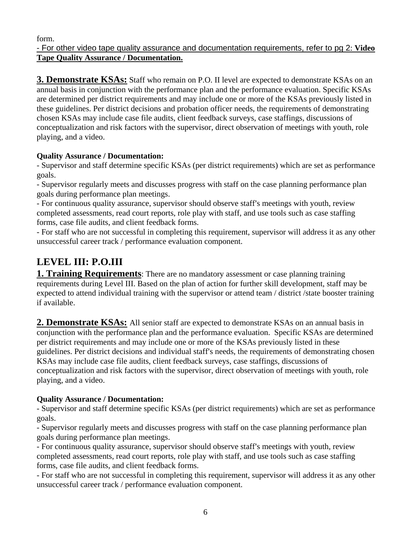form.

#### - For other video tape quality assurance and documentation requirements, refer to pg 2: **Video Tape Quality Assurance / Documentation.**

**3. Demonstrate KSAs:** Staff who remain on P.O. II level are expected to demonstrate KSAs on an annual basis in conjunction with the performance plan and the performance evaluation. Specific KSAs are determined per district requirements and may include one or more of the KSAs previously listed in these guidelines. Per district decisions and probation officer needs, the requirements of demonstrating chosen KSAs may include case file audits, client feedback surveys, case staffings, discussions of conceptualization and risk factors with the supervisor, direct observation of meetings with youth, role playing, and a video.

## **Quality Assurance / Documentation:**

- Supervisor and staff determine specific KSAs (per district requirements) which are set as performance goals.

- Supervisor regularly meets and discusses progress with staff on the case planning performance plan goals during performance plan meetings.

- For continuous quality assurance, supervisor should observe staff's meetings with youth, review completed assessments, read court reports, role play with staff, and use tools such as case staffing forms, case file audits, and client feedback forms.

- For staff who are not successful in completing this requirement, supervisor will address it as any other unsuccessful career track / performance evaluation component.

# **LEVEL III: P.O.III**

**1. Training Requirements**: There are no mandatory assessment or case planning training requirements during Level III. Based on the plan of action for further skill development, staff may be expected to attend individual training with the supervisor or attend team / district /state booster training if available.

**2. Demonstrate KSAs:** All senior staff are expected to demonstrate KSAs on an annual basis in conjunction with the performance plan and the performance evaluation. Specific KSAs are determined per district requirements and may include one or more of the KSAs previously listed in these guidelines. Per district decisions and individual staff's needs, the requirements of demonstrating chosen KSAs may include case file audits, client feedback surveys, case staffings, discussions of conceptualization and risk factors with the supervisor, direct observation of meetings with youth, role playing, and a video.

## **Quality Assurance / Documentation:**

- Supervisor and staff determine specific KSAs (per district requirements) which are set as performance goals.

- Supervisor regularly meets and discusses progress with staff on the case planning performance plan goals during performance plan meetings.

- For continuous quality assurance, supervisor should observe staff's meetings with youth, review completed assessments, read court reports, role play with staff, and use tools such as case staffing forms, case file audits, and client feedback forms.

- For staff who are not successful in completing this requirement, supervisor will address it as any other unsuccessful career track / performance evaluation component.